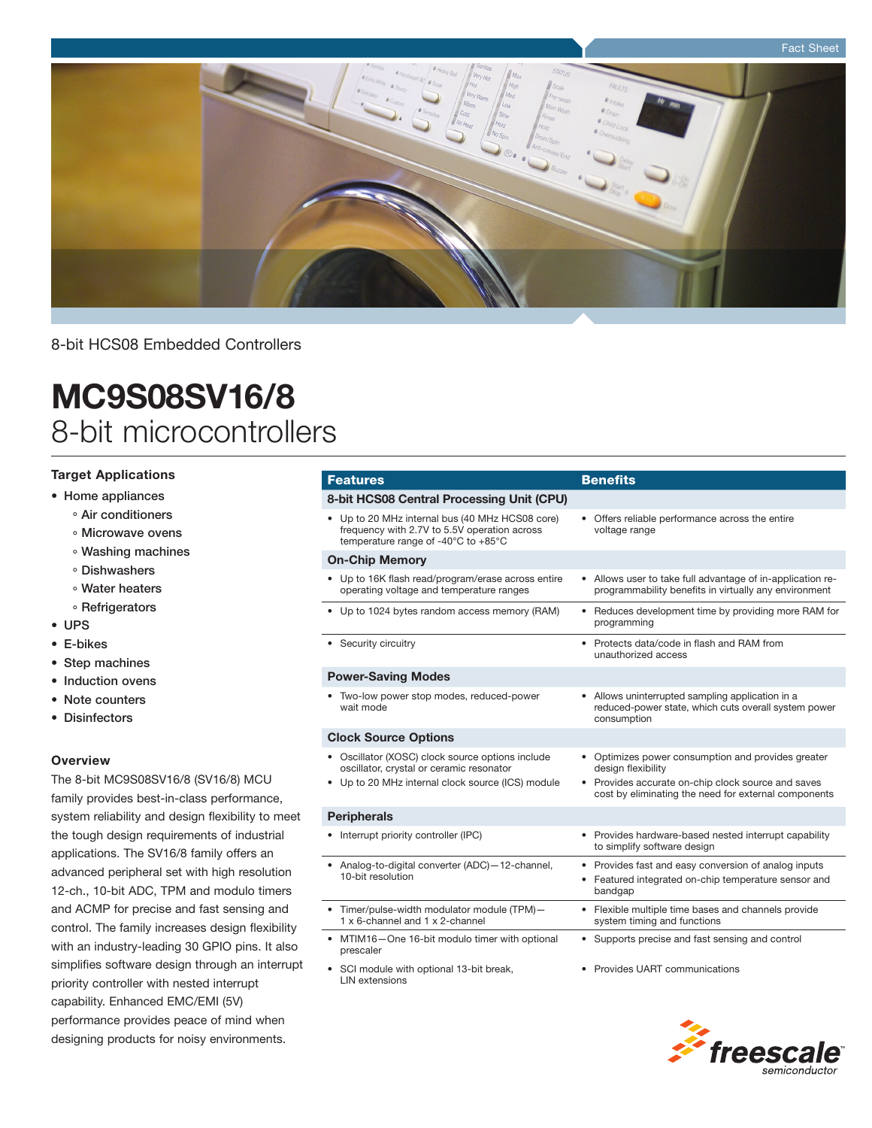

8-bit HCS08 Embedded Controllers

# MC9S08SV16/8 8-bit microcontrollers

### Target Applications

- • Home appliances
	- ° Air conditioners
	- ° Microwave ovens
	- ° Washing machines
	- ° Dishwashers
	- ° Water heaters
	- ° Refrigerators
- • UPS
- • E-bikes
- Step machines
- Induction ovens
- Note counters
- • Disinfectors

#### **Overview**

The 8-bit MC9S08SV16/8 (SV16/8) MCU family provides best-in-class performance, system reliability and design flexibility to meet the tough design requirements of industrial applications. The SV16/8 family offers an advanced peripheral set with high resolution 12-ch., 10-bit ADC, TPM and modulo timers and ACMP for precise and fast sensing and control. The family increases design flexibility with an industry-leading 30 GPIO pins. It also simplifies software design through an interrupt priority controller with nested interrupt capability. Enhanced EMC/EMI (5V) performance provides peace of mind when designing products for noisy environments.

#### **Features Benefits**

#### 8-bit HCS08 Central Processing Unit (CPU) Up to 20 MHz internal bus (40 MHz HCS08 core) frequency with 2.7V to 5.5V operation across temperature range of -40°C to +85°C • Offers reliable performance across the entire voltage range On-Chip Memory Up to 16K flash read/program/erase across entire operating voltage and temperature ranges Allows user to take full advantage of in-application reprogrammability benefits in virtually any environment Up to 1024 bytes random access memory (RAM) • Reduces development time by providing more RAM for programming • Security circuitry expression of the security of the Security of Protects data/code in flash and RAM from unauthorized access Power-Saving Modes Two-low power stop modes, reduced-power wait mode • Allows uninterrupted sampling application in a reduced-power state, which cuts overall system power consumption Clock Source Options • Oscillator (XOSC) clock source options include oscillator, crystal or ceramic resonator Up to 20 MHz internal clock source (ICS) module • Optimizes power consumption and provides greater design flexibility Provides accurate on-chip clock source and saves cost by eliminating the need for external components **Peripherals**

- Interrupt priority controller (IPC) Provides hardware-based nested interrupt capability to simplify software design Analog-to-digital converter (ADC) - 12-channel, 10-bit resolution • Provides fast and easy conversion of analog inputs Featured integrated on-chip temperature sensor and bandgap Timer/pulse-width modulator module (TPM)-1 x 6-channel and 1 x 2-channel Flexible multiple time bases and channels provide system timing and functions MTIM16-One 16-bit modulo timer with optional prescaler • Supports precise and fast sensing and control • Provides UART communications
- SCI module with optional 13-bit break, LIN extensions

*freeso*